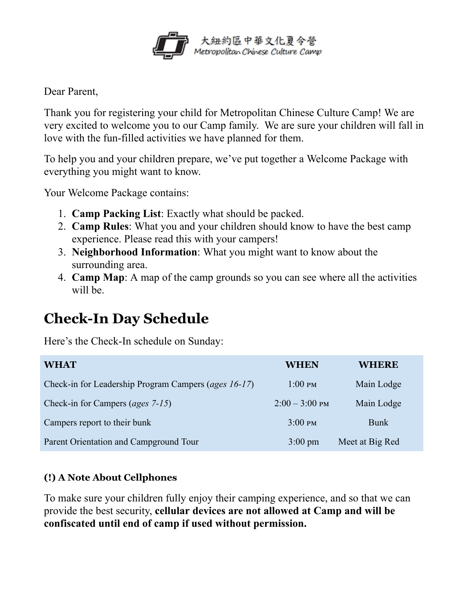

Dear Parent,

Thank you for registering your child for Metropolitan Chinese Culture Camp! We are very excited to welcome you to our Camp family. We are sure your children will fall in love with the fun-filled activities we have planned for them.

To help you and your children prepare, we've put together a Welcome Package with everything you might want to know.

Your Welcome Package contains:

- 1. **Camp Packing List**: Exactly what should be packed.
- 2. **Camp Rules**: What you and your children should know to have the best camp experience. Please read this with your campers!
- 3. **Neighborhood Information**: What you might want to know about the surrounding area.
- 4. **Camp Map**: A map of the camp grounds so you can see where all the activities will be.

## **Check-In Day Schedule**

Here's the Check-In schedule on Sunday:

| <b>WHAT</b>                                          | <b>WHEN</b>                    | <b>WHERE</b>    |
|------------------------------------------------------|--------------------------------|-----------------|
| Check-in for Leadership Program Campers (ages 16-17) | $1:00 \text{ } \mathrm{PM}$    | Main Lodge      |
| Check-in for Campers ( <i>ages</i> 7-15)             | $2:00-3:00 \text{ } \text{PM}$ | Main Lodge      |
| Campers report to their bunk                         | $3:00 \text{ } \text{PM}$      | <b>Bunk</b>     |
| Parent Orientation and Campground Tour               | $3:00 \text{ pm}$              | Meet at Big Red |

## **(!) A Note About Cellphones**

To make sure your children fully enjoy their camping experience, and so that we can provide the best security, **cellular devices are not allowed at Camp and will be confiscated until end of camp if used without permission.**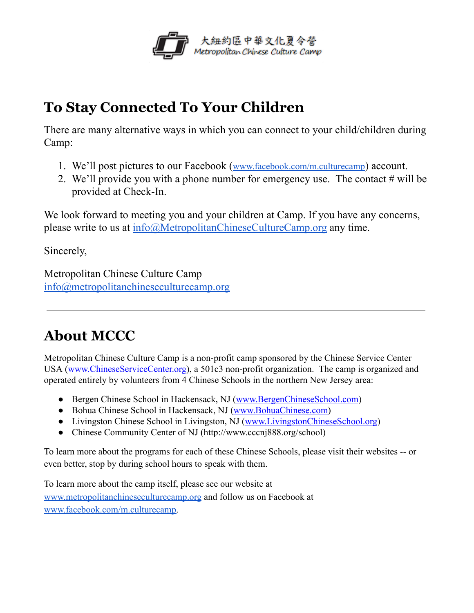

## **To Stay Connected To Your Children**

There are many alternative ways in which you can connect to your child/children during Camp:

- 1. We'll post pictures to our Facebook ([www.facebook.com/m.culturecamp](https://www.facebook.com/m.culturecamp) ) account.
- 2. We'll provide you with a phone number for emergency use. The contact # will be provided at Check-In.

We look forward to meeting you and your children at Camp. If you have any concerns, please write to us at [info@MetropolitanChineseCultureCamp.org](mailto:info@MetropolitanChineseCultureCamp.org) any time.

Sincerely,

Metropolitan Chinese Culture Camp [info@metropolitanchineseculturecamp.org](mailto:info@metropolitanchineseculturecamp.org)

## **About MCCC**

Metropolitan Chinese Culture Camp is a non-profit camp sponsored by the Chinese Service Center USA (www.ChineseServiceCenter.org), a 501c3 non-profit organization. The camp is organized and operated entirely by volunteers from 4 Chinese Schools in the northern New Jersey area:

- Bergen Chinese School in Hackensack, NJ (www.BergenChineseSchool.com)
- Bohua Chinese School in Hackensack, NJ (www.BohuaChinese.com)
- Livingston Chinese School in Livingston, NJ (www.LivingstonChineseSchool.org)
- Chinese Community Center of NJ (http://www.cccnj888.org/school)

To learn more about the programs for each of these Chinese Schools, please visit their websites -- or even better, stop by during school hours to speak with them.

To learn more about the camp itself, please see our website at [www.metropolitanchineseculturecamp.org](http://www.metropolitanchineseculturecamp.org/) and follow us on Facebook at [www.facebook.com/m.culturecamp .](https://www.facebook.com/m.culturecamp)